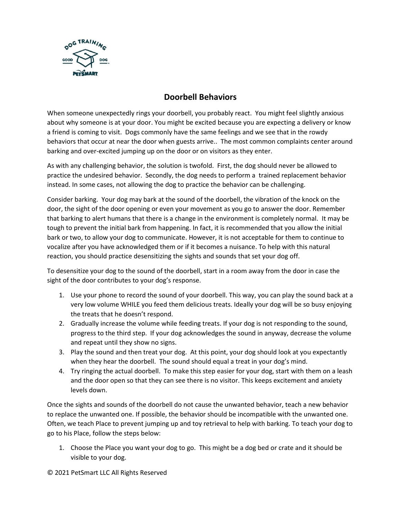

## **Doorbell Behaviors**

When someone unexpectedly rings your doorbell, you probably react. You might feel slightly anxious about why someone is at your door. You might be excited because you are expecting a delivery or know a friend is coming to visit. Dogs commonly have the same feelings and we see that in the rowdy behaviors that occur at near the door when guests arrive.. The most common complaints center around barking and over-excited jumping up on the door or on visitors as they enter.

As with any challenging behavior, the solution is twofold. First, the dog should never be allowed to practice the undesired behavior. Secondly, the dog needs to perform a trained replacement behavior instead. In some cases, not allowing the dog to practice the behavior can be challenging.

Consider barking. Your dog may bark at the sound of the doorbell, the vibration of the knock on the door, the sight of the door opening or even your movement as you go to answer the door. Remember that barking to alert humans that there is a change in the environment is completely normal. It may be tough to prevent the initial bark from happening. In fact, it is recommended that you allow the initial bark or two, to allow your dog to communicate. However, it is not acceptable for them to continue to vocalize after you have acknowledged them or if it becomes a nuisance. To help with this natural reaction, you should practice desensitizing the sights and sounds that set your dog off.

To desensitize your dog to the sound of the doorbell, start in a room away from the door in case the sight of the door contributes to your dog's response.

- 1. Use your phone to record the sound of your doorbell. This way, you can play the sound back at a very low volume WHILE you feed them delicious treats. Ideally your dog will be so busy enjoying the treats that he doesn't respond.
- 2. Gradually increase the volume while feeding treats. If your dog is not responding to the sound, progress to the third step. If your dog acknowledges the sound in anyway, decrease the volume and repeat until they show no signs.
- 3. Play the sound and then treat your dog. At this point, your dog should look at you expectantly when they hear the doorbell. The sound should equal a treat in your dog's mind.
- 4. Try ringing the actual doorbell. To make this step easier for your dog, start with them on a leash and the door open so that they can see there is no visitor. This keeps excitement and anxiety levels down.

Once the sights and sounds of the doorbell do not cause the unwanted behavior, teach a new behavior to replace the unwanted one. If possible, the behavior should be incompatible with the unwanted one. Often, we teach Place to prevent jumping up and toy retrieval to help with barking. To teach your dog to go to his Place, follow the steps below:

1. Choose the Place you want your dog to go. This might be a dog bed or crate and it should be visible to your dog.

## © 2021 PetSmart LLC All Rights Reserved